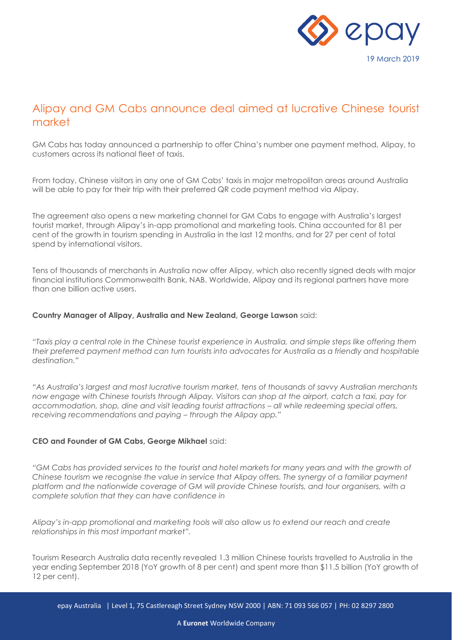

# Alipay and GM Cabs announce deal aimed at lucrative Chinese tourist market

GM Cabs has today announced a partnership to offer China's number one payment method, Alipay, to customers across its national fleet of taxis.

From today, Chinese visitors in any one of GM Cabs' taxis in major metropolitan areas around Australia will be able to pay for their trip with their preferred QR code payment method via Alipay.

The agreement also opens a new marketing channel for GM Cabs to engage with Australia's largest tourist market, through Alipay's in-app promotional and marketing tools. China accounted for 81 per cent of the growth in tourism spending in Australia in the last 12 months, and for 27 per cent of total spend by international visitors.

Tens of thousands of merchants in Australia now offer Alipay, which also recently signed deals with major financial institutions Commonwealth Bank, NAB. Worldwide, Alipay and its regional partners have more than one billion active users.

## **Country Manager of Alipay, Australia and New Zealand, George Lawson** said:

*"Taxis play a central role in the Chinese tourist experience in Australia, and simple steps like offering them their preferred payment method can turn tourists into advocates for Australia as a friendly and hospitable destination."*

*"As Australia's largest and most lucrative tourism market, tens of thousands of savvy Australian merchants now engage with Chinese tourists through Alipay. Visitors can shop at the airport, catch a taxi, pay for accommodation, shop, dine and visit leading tourist attractions – all while redeeming special offers, receiving recommendations and paying – through the Alipay app."*

## **CEO and Founder of GM Cabs, George Mikhael** said:

*"GM Cabs has provided services to the tourist and hotel markets for many years and with the growth of Chinese tourism we recognise the value in service that Alipay offers. The synergy of a familiar payment platform and the nationwide coverage of GM will provide Chinese tourists, and tour organisers, with a complete solution that they can have confidence in*

*Alipay's in-app promotional and marketing tools will also allow us to extend our reach and create relationships in this most important market".*

Tourism Research Australia data recently revealed 1.3 million Chinese tourists travelled to Australia in the year ending September 2018 (YoY growth of 8 per cent) and spent more than \$11.5 billion (YoY growth of 12 per cent).